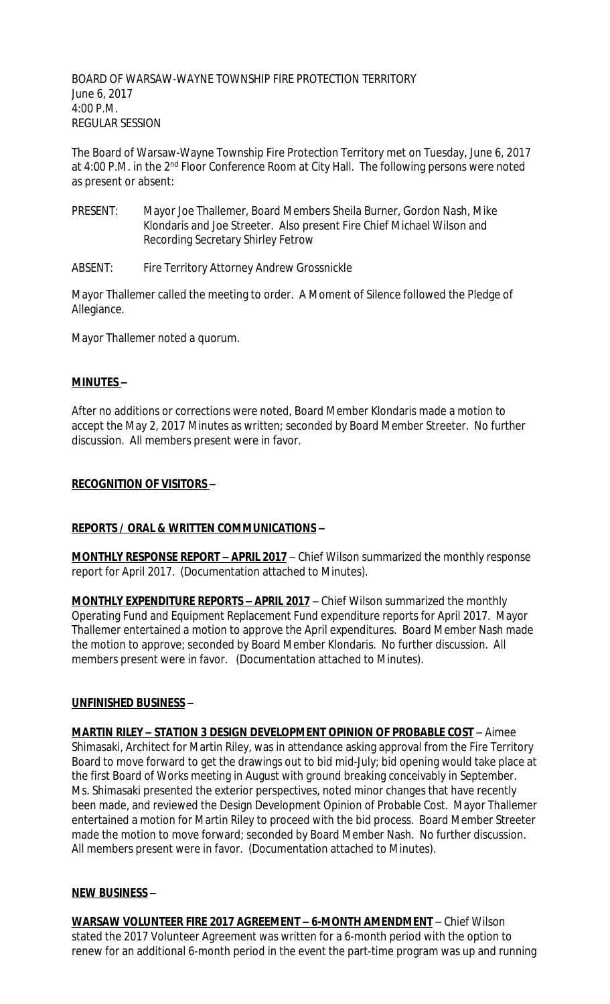BOARD OF WARSAW-WAYNE TOWNSHIP FIRE PROTECTION TERRITORY June 6, 2017 4:00 P.M. REGULAR SESSION

The Board of Warsaw-Wayne Township Fire Protection Territory met on Tuesday, June 6, 2017 at 4:00 P.M. in the 2<sup>nd</sup> Floor Conference Room at City Hall. The following persons were noted as present or absent:

- PRESENT: Mayor Joe Thallemer, Board Members Sheila Burner, Gordon Nash, Mike Klondaris and Joe Streeter. Also present Fire Chief Michael Wilson and Recording Secretary Shirley Fetrow
- ABSENT: Fire Territory Attorney Andrew Grossnickle

Mayor Thallemer called the meeting to order. A Moment of Silence followed the Pledge of Allegiance.

Mayor Thallemer noted a quorum.

### **MINUTES –**

After no additions or corrections were noted, Board Member Klondaris made a motion to accept the May 2, 2017 Minutes as written; seconded by Board Member Streeter. No further discussion. All members present were in favor.

### **RECOGNITION OF VISITORS –**

## **REPORTS / ORAL & WRITTEN COMMUNICATIONS –**

**MONTHLY RESPONSE REPORT - APRIL 2017** - Chief Wilson summarized the monthly response report for April 2017. (Documentation attached to Minutes).

**MONTHLY EXPENDITURE REPORTS – APRIL 2017** – Chief Wilson summarized the monthly Operating Fund and Equipment Replacement Fund expenditure reports for April 2017. Mayor Thallemer entertained a motion to approve the April expenditures. Board Member Nash made the motion to approve; seconded by Board Member Klondaris. No further discussion. All members present were in favor. (Documentation attached to Minutes).

#### **UNFINISHED BUSINESS –**

**MARTIN RILEY – STATION 3 DESIGN DEVELOPMENT OPINION OF PROBABLE COST** – Aimee Shimasaki, Architect for Martin Riley, was in attendance asking approval from the Fire Territory Board to move forward to get the drawings out to bid mid-July; bid opening would take place at the first Board of Works meeting in August with ground breaking conceivably in September. Ms. Shimasaki presented the exterior perspectives, noted minor changes that have recently been made, and reviewed the Design Development Opinion of Probable Cost. Mayor Thallemer entertained a motion for Martin Riley to proceed with the bid process. Board Member Streeter made the motion to move forward; seconded by Board Member Nash. No further discussion. All members present were in favor. (Documentation attached to Minutes).

#### **NEW BUSINESS –**

**WARSAW VOLUNTEER FIRE 2017 AGREEMENT – 6-MONTH AMENDMENT** – Chief Wilson stated the 2017 Volunteer Agreement was written for a 6-month period with the option to renew for an additional 6-month period in the event the part-time program was up and running